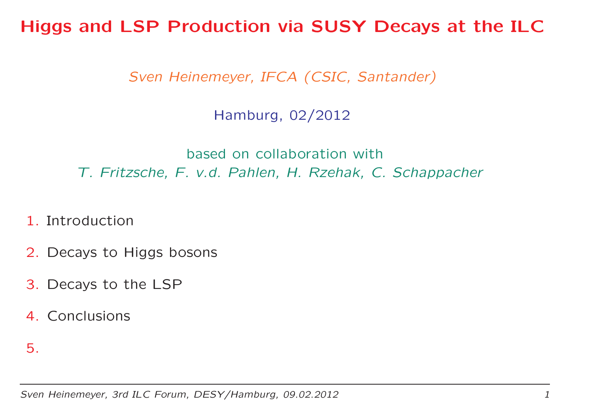Higgs and LSP Production via SUSY Decays at the ILC

Sven Heinemeyer, IFCA (CSIC, Santander)

Hamburg, 02/2012

based on collaboration with T. Fritzsche, F. v.d. Pahlen, H. Rzehak, C. Schappacher

- 1. Introduction
- 2. Decays to Higgs bosons
- 3. Decays to the LSP
- 4. Conclusions
- 5.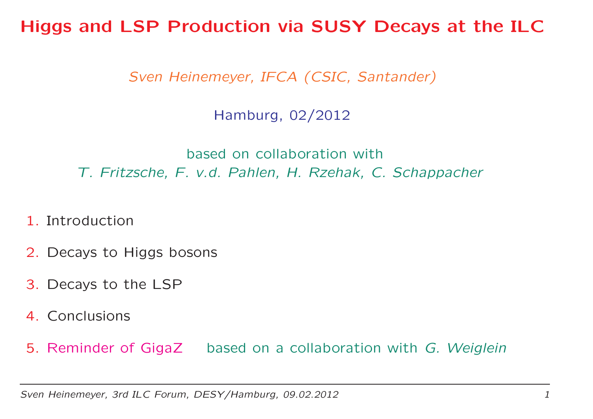Higgs and LSP Production via SUSY Decays at the ILC

Sven Heinemeyer, IFCA (CSIC, Santander)

Hamburg, 02/2012

based on collaboration with T. Fritzsche, F. v.d. Pahlen, H. Rzehak, C. Schappacher

- 1. Introduction
- 2. Decays to Higgs bosons
- 3. Decays to the LSP
- 4. Conclusions

5. Reminder of GigaZ based on a collaboration with *G. Weiglein*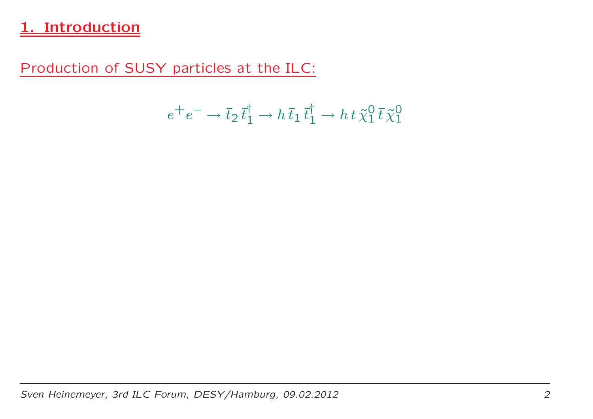## 1. Introduction

Production of SUSY particles at the ILC:

$$
e^+e^- \to \tilde{t}_2 \, \tilde{t}_1^\dagger \to h \, \tilde{t}_1 \, \tilde{t}_1^\dagger \to h \, t \, \tilde{\chi}_1^0 \, \tilde{t} \, \tilde{\chi}_1^0
$$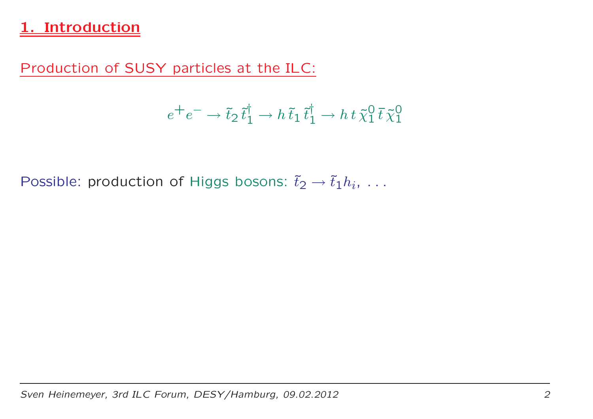## 1. Introduction

Production of SUSY particles at the ILC:

$$
e^+e^- \to \tilde{t}_2 \, \tilde{t}_1^\dagger \to h \, \tilde{t}_1 \, \tilde{t}_1^\dagger \to h \, t \, \tilde{\chi}_1^0 \, \tilde{t} \, \tilde{\chi}_1^0
$$

Possible: production of Higgs bosons:  $\tilde{t}_2 \rightarrow \tilde{t}_1 h_i$ , ...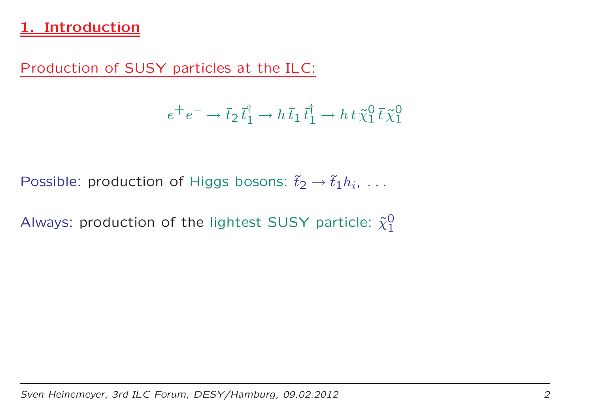## **Introduction**

Production of SUSY particles at the ILC:

$$
e^+e^- \to \tilde{t}_2 \, \tilde{t}_1^\dagger \to h \, \tilde{t}_1 \, \tilde{t}_1^\dagger \to h \, t \, \tilde{\chi}_1^0 \, \tilde{t} \, \tilde{\chi}_1^0
$$

Possible: production of Higgs bosons:  $\tilde{t}_2 \rightarrow \tilde{t}_1 h_i$ , ...

Always: production of the lightest SUSY particle:  ${\tilde\chi_1^0}$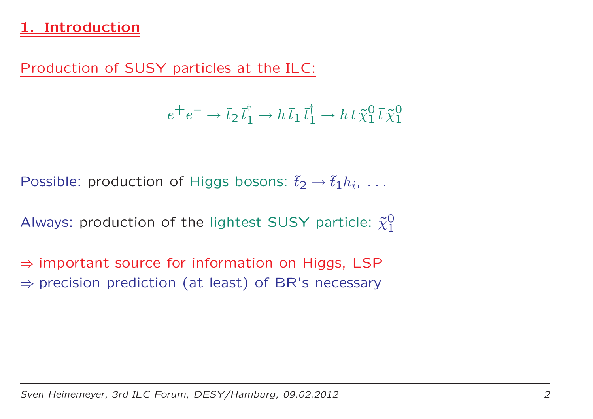## **Introduction**

Production of SUSY particles at the ILC:

$$
e^+e^- \to \tilde{t}_2 \, \tilde{t}_1^\dagger \to h \, \tilde{t}_1 \, \tilde{t}_1^\dagger \to h \, t \, \tilde{\chi}_1^0 \, \tilde{t} \, \tilde{\chi}_1^0
$$

Possible: production of Higgs bosons:  $\tilde{t}_2 \rightarrow \tilde{t}_1 h_i$ , ...

Always: production of the lightest SUSY particle:  ${\tilde\chi_1^0}$ 

⇒ important source for information on Higgs, LSP<br>→ precision prediction (at least) of PP's nesessary  $\Rightarrow$  precision prediction (at least) of BR's necessary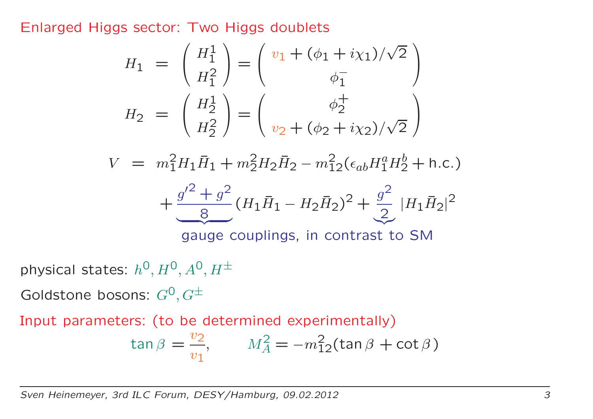Enlarged Higgs sector: Two Higgs doublets

$$
H_1 = \begin{pmatrix} H_1^1 \\ H_1^2 \end{pmatrix} = \begin{pmatrix} v_1 + (\phi_1 + i\chi_1)/\sqrt{2} \\ \phi_1^- \end{pmatrix}
$$

$$
H_2 = \begin{pmatrix} H_2^1 \\ H_2^2 \end{pmatrix} = \begin{pmatrix} \phi_2^+ \\ v_2 + (\phi_2 + i\chi_2)/\sqrt{2} \end{pmatrix}
$$

 $V=m$ 2 $^{2}_{1}H_{1}\bar{H}_{1}+m$ 2 $\frac{2}{2}H_2\bar{H}_2-m$ 2 $\frac{2}{12}(\epsilon_{ab}H_1^a)$  $^a_1H^b_2$  2 $\frac{1}{2} + h.c.$ 

$$
+\frac{g^{\prime 2}+g^2}{8}(H_1\bar{H}_1-H_2\bar{H}_2)^2+\frac{g^2}{2}|H_1\bar{H}_2|^2
$$

gauge couplings, in contrast to SM

physical states:  $h^{\mathsf{O}}, H^{\mathsf{O}}, A^{\mathsf{O}}, H^{\pm}$ 

Goldstone bosons:  $G^\mathbf{0},G^\pm$ 

Input parameters: (to be determined experimentally)

$$
\tan \beta = \frac{v_2}{v_1}, \qquad M_A^2 = -m_{12}^2(\tan \beta + \cot \beta)
$$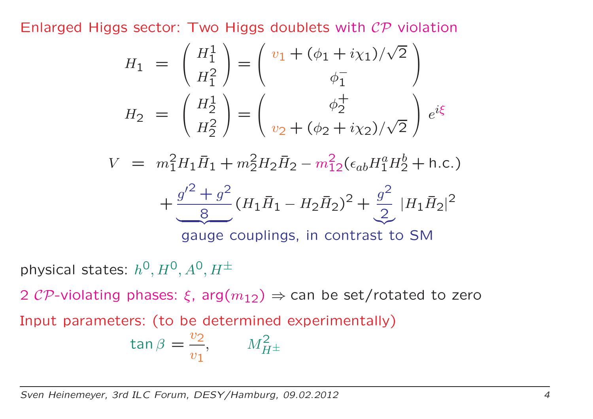Enlarged Higgs sector: Two Higgs doublets with  ${\cal{CP}}$  violation

$$
H_1 = \begin{pmatrix} H_1^1 \\ H_1^2 \end{pmatrix} = \begin{pmatrix} v_1 + (\phi_1 + i\chi_1)/\sqrt{2} \\ \phi_1^- \end{pmatrix}
$$

$$
H_2 = \begin{pmatrix} H_2^1 \\ H_2^2 \end{pmatrix} = \begin{pmatrix} \phi_2^+ \\ v_2 + (\phi_2 + i\chi_2)/\sqrt{2} \end{pmatrix} e^{i\xi}
$$

 $V=m$ 2 $^{2}_{1}H_{1}\bar{H}_{1}+m$ 2 $\frac{2}{2}H_2\bar{H}_2-m$ 2 $\frac{2}{12}(\epsilon_{ab}H_1^a)$  $^a_1H^b_2$  2 $\frac{1}{2} + h.c.$ 

$$
+\frac{g'^2+g^2}{8}(H_1\bar{H}_1-H_2\bar{H}_2)^2+\frac{g^2}{2}|H_1\bar{H}_2|^2
$$

gauge couplings, in contrast to SM

physical states:  $h^{\mathsf{O}}, H^{\mathsf{O}}, A^{\mathsf{O}}, H^{\pm}$ 

2  ${\cal{CP}}$ -violating phases:  $\xi$ , arg $(m_{12}) \Rightarrow$  can be set/rotated to zero

Input parameters: (to be determined experimentally)

$$
\tan \beta = \frac{v_2}{v_1}, \qquad M_{H^{\pm}}^2
$$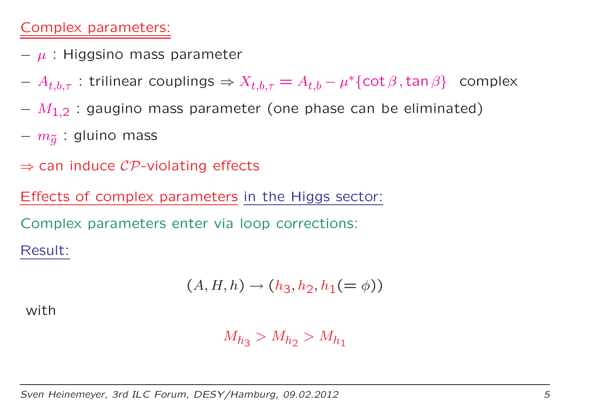### Complex parameters:

- $\mu$  : Higgsino mass parameter
- $A_{t,b,\tau}$  : trilinear couplings  $\Rightarrow X_{t,b,\tau} = A_{t,b} \mu^* \{ \cot \beta, \tan \beta \}$  complex
- $M_{1,2}$  : gaugino mass parameter (one phase can be eliminated)
- $m_{\tilde{g}}$  : gluino mass
- $\Rightarrow$  can induce  ${\cal{CP}}$ -violating effects

Effects of complex parameters in the Higgs sector:

Complex parameters enter via loop corrections:

Result:

$$
(A,H,h)\rightarrow (h_3,h_2,h_1(=\phi))
$$

with

$$
M_{h_3} > M_{h_2} > M_{h_1}
$$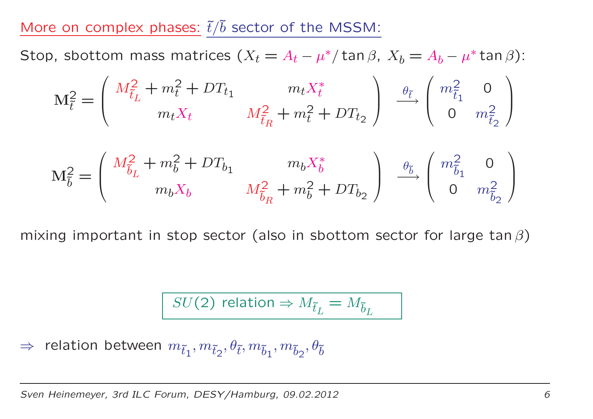## More on complex phases:  $\tilde{t}/\tilde{b}$  sector of the MSSM:

Stop, sbottom mass matrices ( $X_t = A_t - \mu^*/\tan\beta$ ,  $X_b = A_b - \mu^* \tan\beta$ ):

$$
\mathbf{M}_{\tilde{t}}^2 = \begin{pmatrix} M_{\tilde{t}_L}^2 + m_t^2 + DT_{t_1} & m_t X_t^* \\ m_t X_t & M_{\tilde{t}_R}^2 + m_t^2 + DT_{t_2} \end{pmatrix} \xrightarrow{\theta_{\tilde{t}} \theta} \begin{pmatrix} m_{\tilde{t}_1}^2 & 0 \\ 0 & m_{\tilde{t}_2}^2 \end{pmatrix}
$$

$$
M_{\tilde{b}}^2 = \begin{pmatrix} M_{\tilde{b}_L}^2 + m_b^2 + DT_{b_1} & m_b X_b^* \\ m_b X_b & M_{\tilde{b}_R}^2 + m_b^2 + DT_{b_2} \end{pmatrix} \xrightarrow{\theta_{\tilde{b}}}_{\theta_{\tilde{b}}} \begin{pmatrix} m_{\tilde{b}_1}^2 & 0 \\ 0 & m_{\tilde{b}_2}^2 \end{pmatrix}
$$

mixing important in stop sector (also in sbottom sector for large tan  $\beta$ )

$$
SU(2) \text{ relation} \Rightarrow M_{\tilde{t}_L} = M_{\tilde{b}_L}
$$

 $\Rightarrow$  relation between  $m_{\tilde{t}_1}, m_{\tilde{t}_2}, \theta_{\tilde{t}}, m_{\tilde{b}_1}, m_{\tilde{b}_2}, \theta_{\tilde{b}}$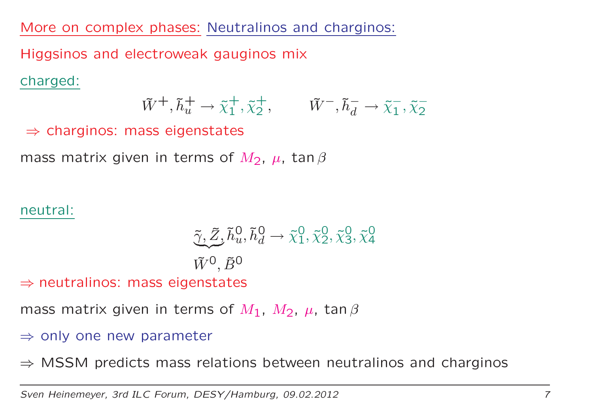More on complex phases: Neutralinos and charginos:

Higgsinos and electroweak gauginos mix

charged:

$$
\tilde{W}^+, \tilde{h}_u^+ \to \tilde{\chi}_1^+, \tilde{\chi}_2^+, \qquad \tilde{W}^-, \tilde{h}_d^- \to \tilde{\chi}_1^-, \tilde{\chi}_2^-
$$

 $\Rightarrow$  charginos: mass eigenstates

mass matrix given in terms of  $M_2$ ,  $\mu$ , tan  $\beta$ 

#### neutral:

$$
\begin{aligned}\n\tilde{\gamma}, \tilde{Z}, \tilde{h}_u^0, \tilde{h}_d^0 &\to \tilde{\chi}_1^0, \tilde{\chi}_2^0, \tilde{\chi}_3^0, \tilde{\chi}_4^0 \\
\tilde{W}^0, \tilde{B}^0\n\end{aligned}
$$

⇒ neutralinos: mass eigenstates

mass matrix given in terms of  $M_1$ ,  $M_2$ ,  $\mu$ , tan  $\beta$ 

⇒ only one new parameter

 $\Rightarrow$  MSSM predicts mass relations between neutralinos and charginos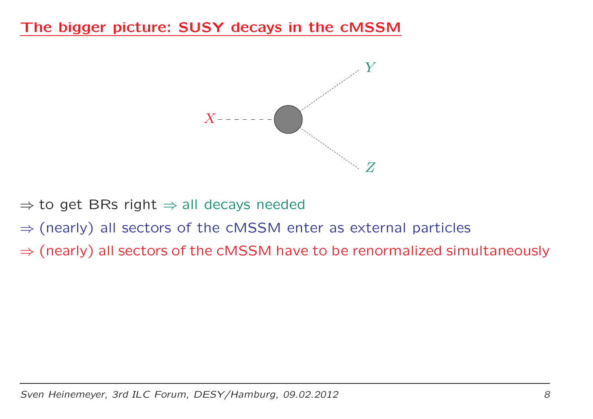### The bigger picture: SUSY decays in the cMSSM



⇒ to get BRs right ⇒ all decays needed

- ⇒ (nearly) all sectors of the cMSSM enter as external particles
- $\Rightarrow$  (nearly) all sectors of the cMSSM have to be renormalized simultaneously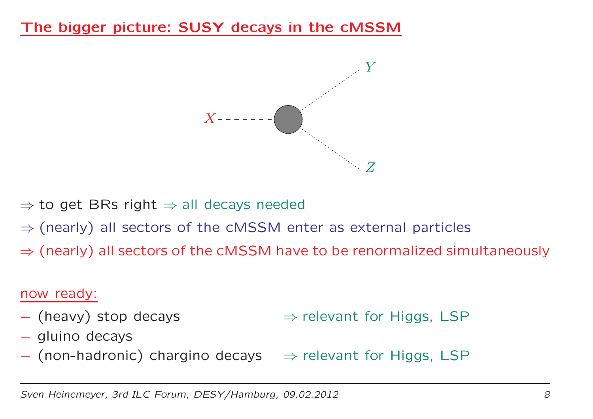## The bigger picture: SUSY decays in the cMSSM



⇒ to get BRs right ⇒ all decays needed

- ⇒ (nearly) all sectors of the cMSSM enter as external particles
- $\Rightarrow$  (nearly) all sectors of the cMSSM have to be renormalized simultaneously

#### now ready:

- (heavy) stop decays
- $\Rightarrow$  relevant for Higgs, LSP
- gluino decays
- $-$  (non-hadronic) chargino decays  $\Rightarrow$  relevant for Higgs, LSP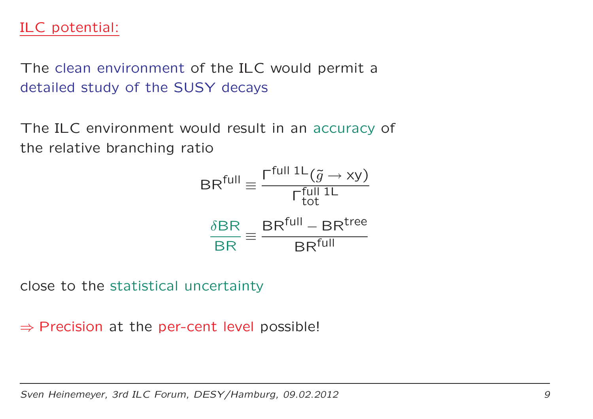## ILC potential:

The clean environment of the ILC would permit <sup>a</sup> detailed study of the SUSY decays

The ILC environment would result in an accuracy of the relative branching ratio

$$
BRfull \equiv \frac{\Gamma^{\text{full 1L}}(\tilde{g} \to xy)}{\Gamma^{\text{full 1L}}_{\text{tot}}}
$$

$$
\frac{\delta BR}{BR} \equiv \frac{BR^{\text{full}} - BR^{\text{tree}}}{BR^{\text{full}}}
$$

close to the statistical uncertainty

 $\Rightarrow$  Precision at the per-cent level possible!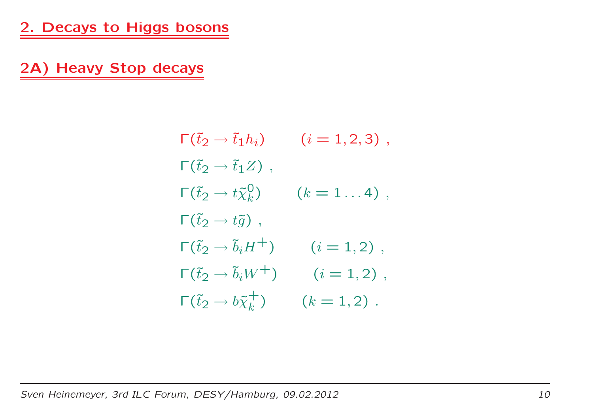2A) Heavy Stop decays

$$
\begin{aligned}\n\Gamma(\tilde{t}_2 \to \tilde{t}_1 h_i) & (i = 1, 2, 3) \,, \\
\Gamma(\tilde{t}_2 \to \tilde{t}_1 Z) & , \\
\Gamma(\tilde{t}_2 \to t \tilde{\chi}_k^0) & (k = 1 \dots 4) \,, \\
\Gamma(\tilde{t}_2 \to t \tilde{g}) & , \\
\Gamma(\tilde{t}_2 \to \tilde{b}_i H^+) & (i = 1, 2) \,, \\
\Gamma(\tilde{t}_2 \to \tilde{b}_i W^+) & (i = 1, 2) \,, \\
\Gamma(\tilde{t}_2 \to b \tilde{\chi}_k^+) & (k = 1, 2) \,. \n\end{aligned}
$$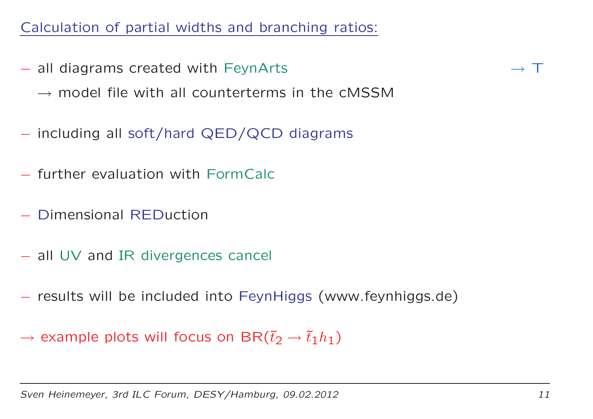## Calculation of partial widths and branching ratios:

- all diagrams created with FeynArts
	- $\rightarrow$  model file with all counterterms in the cMSSM
- including all soft/hard QED/QCD diagrams
- further evaluation with FormCalc
- −Dimensional REDuction
- all UV and IR divergences cancel
- results will be included into FeynHiggs (www.feynhiggs.de)
- $\rightarrow$  example plots will focus on BR $(\tilde{t}_2 \rightarrow \tilde{t}_1 h_1)$

 $\rightarrow$  T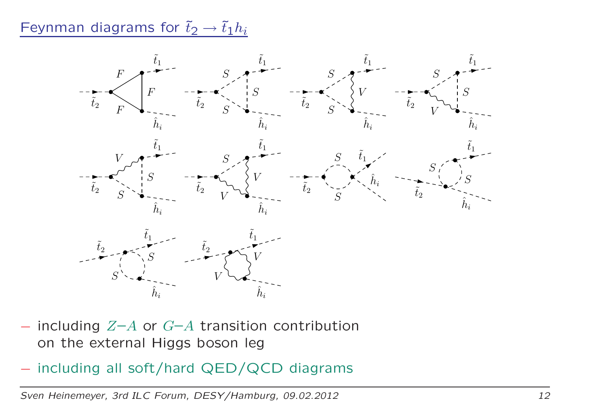Feynman diagrams for  $\tilde{t}_2 \rightarrow \tilde{t}_1 h_i$ 



- −including  $Z-A$  or  $G-A$  transition contribution on the external Higgs boson leg
- including all soft/hard QED/QCD diagrams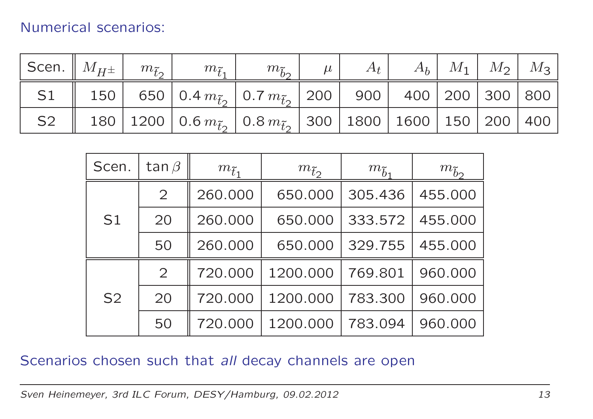### Numerical scenarios:

|  | Scen. $\mid M_{H^{\pm}} \mid m_{\tilde{t}_2} \mid m_{\tilde{t}_1} \mid$ | $m_{\tilde{b}_2}$   $\cdots$ | $\mu$   $A_t$   $A_b$   $M_1$   $M_2$   $M_3$ |  |  |
|--|-------------------------------------------------------------------------|------------------------------|-----------------------------------------------|--|--|
|  |                                                                         |                              |                                               |  |  |
|  |                                                                         |                              |                                               |  |  |

| Scen.          | tan $\beta$    | $m_{\tilde{t}_1}$ | $m_{\tilde{t}_2}$ | $m_{\tilde{b}_1}$ | $m_{\tilde{b}2}$ |
|----------------|----------------|-------------------|-------------------|-------------------|------------------|
| S <sub>1</sub> | 2              | 260.000           | 650.000           | 305.436           | 455.000          |
|                | 20             | 260.000           | 650.000           | 333.572           | 455.000          |
|                | 50             | 260.000           | 650.000           | 329.755           | 455.000          |
| S <sub>2</sub> | $\overline{2}$ | 720.000           | 1200.000          | 769.801           | 960.000          |
|                | 20             | 720.000           | 1200.000          | 783.300           | 960.000          |
|                | 50             | 720.000           | 1200.000          | 783.094           | 960.000          |

#### Scenarios chosen such that all decay channels are open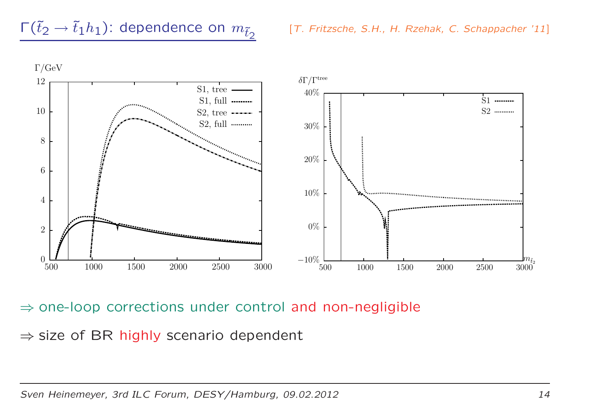

 $\Rightarrow$  one-loop corrections under control and non-negligible

 $\Rightarrow$  size of BR highly scenario dependent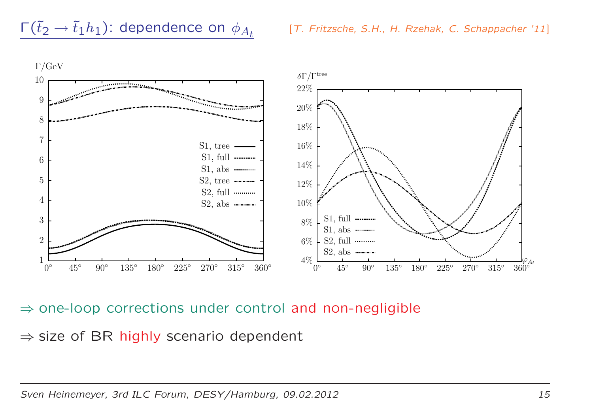



 $\Rightarrow$  one-loop corrections under control and non-negligible

 $\Rightarrow$  size of BR highly scenario dependent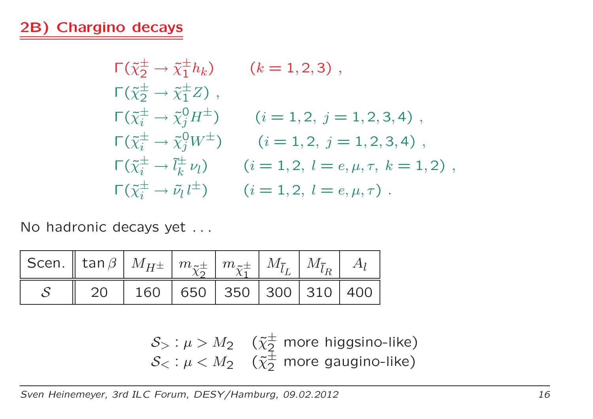## 2B) Chargino decays

$$
\begin{aligned}\n\Gamma(\tilde{\chi}_{2}^{\pm} \to \tilde{\chi}_{1}^{\pm} h_{k}) & (k = 1, 2, 3) \,, \\
\Gamma(\tilde{\chi}_{2}^{\pm} \to \tilde{\chi}_{1}^{\pm} Z) \,, \\
\Gamma(\tilde{\chi}_{i}^{\pm} \to \tilde{\chi}_{j}^{0} H^{\pm}) & (i = 1, 2, j = 1, 2, 3, 4) \,, \\
\Gamma(\tilde{\chi}_{i}^{\pm} \to \tilde{\chi}_{j}^{0} W^{\pm}) & (i = 1, 2, j = 1, 2, 3, 4) \,, \\
\Gamma(\tilde{\chi}_{i}^{\pm} \to \tilde{l}_{k}^{\pm} \nu_{l}) & (i = 1, 2, l = e, \mu, \tau, k = 1, 2) \,, \\
\Gamma(\tilde{\chi}_{i}^{\pm} \to \tilde{\nu}_{l} l^{\pm}) & (i = 1, 2, l = e, \mu, \tau) \,.\n\end{aligned}
$$

No hadronic decays yet . . .

| $\big $ Scen. $\big\ $ tan $\beta$ $\big\ $ $M_{H^\pm}$ $\big\ $ $m_{\tilde{\chi}_2^\pm}$ $\big\ $ $m_{\tilde{\chi}_1^\pm}$ $\big\ $ $M_{\tilde{l}_L}$ $\big\ $ $M_{\tilde{l}_R}$ $\big\ $ $A_l$ |                                        |  |  |  |
|--------------------------------------------------------------------------------------------------------------------------------------------------------------------------------------------------|----------------------------------------|--|--|--|
|                                                                                                                                                                                                  | 20   160   650   350   300   310   400 |  |  |  |

$$
S_{>} : \mu > M_2 \quad (\tilde{\chi}_2^{\pm} \text{ more higgsino-like})
$$
  

$$
S_{<} : \mu < M_2 \quad (\tilde{\chi}_2^{\pm} \text{ more gaugino-like})
$$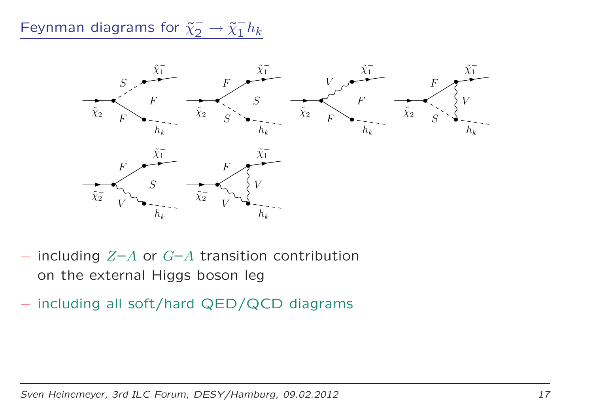# Feynman diagrams for  $\tilde{\chi}^-_2 \rightarrow \tilde{\chi}^-_1 h_k$



- including  $Z-A$  or  $G-A$  transition contribution on the external Higgs boson leg
- including all soft/hard QED/QCD diagrams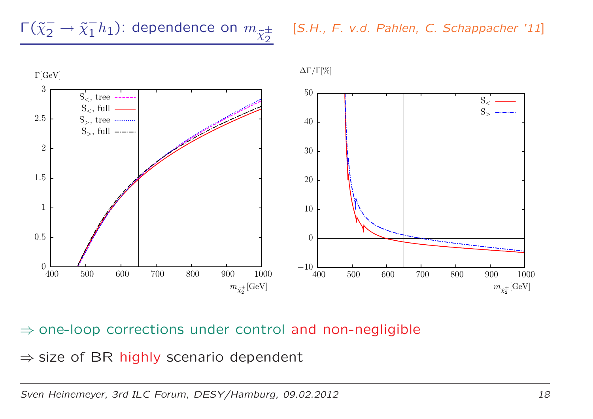$$
\frac{\Gamma(\tilde{\chi}_2^- \to \tilde{\chi}_1^- h_1): \text{dependence on } m_{\tilde{\chi}_2^{\pm}}}{\tilde{\chi}_2}
$$



## ⇒ one-loop corrections under control and non-negligible

 $\Rightarrow$  size of BR highly scenario dependent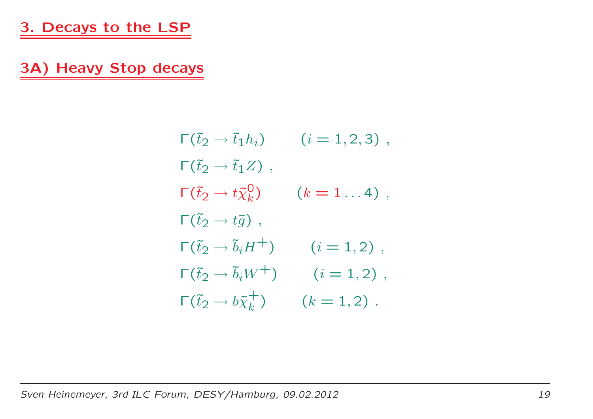3A) Heavy Stop decays

$$
\begin{aligned}\n\Gamma(\tilde{t}_2 \to \tilde{t}_1 h_i) & (i = 1, 2, 3) \;, \\
\Gamma(\tilde{t}_2 \to \tilde{t}_1 Z) & , \\
\Gamma(\tilde{t}_2 \to t \tilde{\chi}_k^0) & (k = 1 \dots 4) \;, \\
\Gamma(\tilde{t}_2 \to t \tilde{g}) & , \\
\Gamma(\tilde{t}_2 \to \tilde{b}_i H^+) & (i = 1, 2) \;, \\
\Gamma(\tilde{t}_2 \to \tilde{b}_i W^+) & (i = 1, 2) \;, \\
\Gamma(\tilde{t}_2 \to b \tilde{\chi}_k^+) & (k = 1, 2) \;. \n\end{aligned}
$$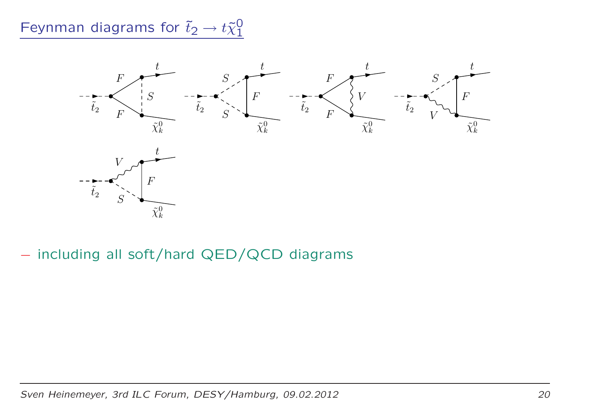# Feynman diagrams for  $\tilde{t}_2 \rightarrow t \tilde{\chi}^0_1$



- including all soft/hard QED/QCD diagrams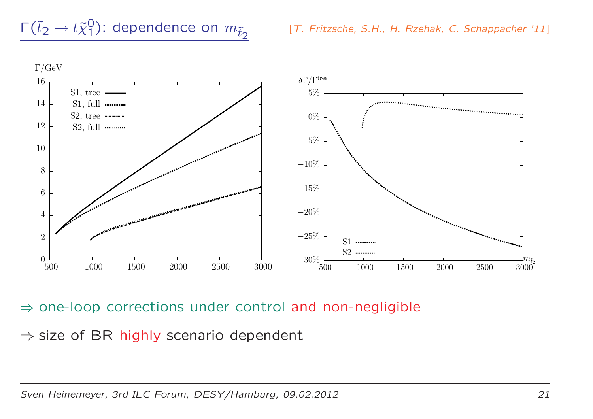



 $\Rightarrow$  one-loop corrections under control and non-negligible

 $\Rightarrow$  size of BR highly scenario dependent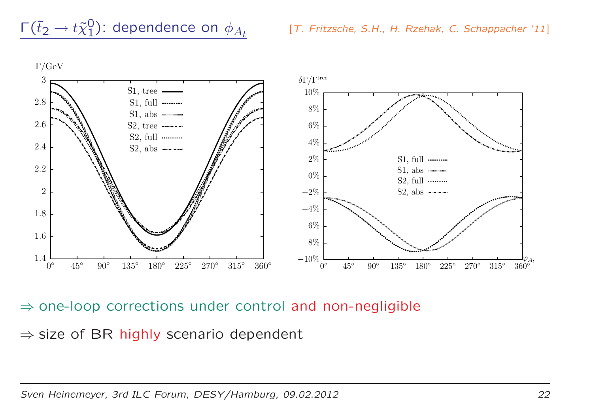

 $\Rightarrow$  one-loop corrections under control and non-negligible

 $\Rightarrow$  size of BR highly scenario dependent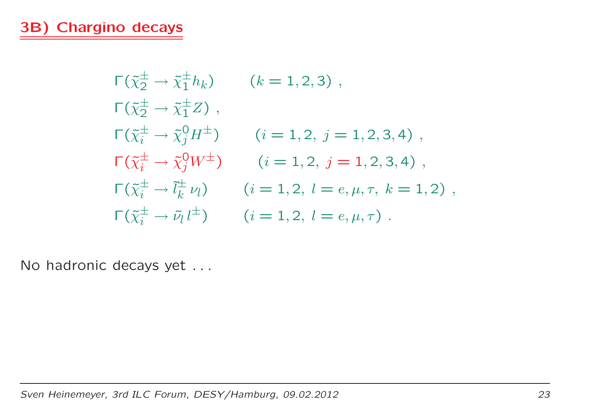$$
\begin{aligned}\n\Gamma(\tilde{\chi}_{2}^{\pm} \to \tilde{\chi}_{1}^{\pm} h_{k}) & (k = 1, 2, 3) \,, \\
\Gamma(\tilde{\chi}_{2}^{\pm} \to \tilde{\chi}_{1}^{\pm} Z) \,, & (i = 1, 2, j = 1, 2, 3, 4) \,, \\
\Gamma(\tilde{\chi}_{i}^{\pm} \to \tilde{\chi}_{j}^{0} H^{\pm}) & (i = 1, 2, j = 1, 2, 3, 4) \,, \\
\Gamma(\tilde{\chi}_{i}^{\pm} \to \tilde{\chi}_{j}^{0} W^{\pm}) & (i = 1, 2, j = 1, 2, 3, 4) \,, \\
\Gamma(\tilde{\chi}_{i}^{\pm} \to \tilde{l}_{k}^{\pm} \nu_{l}) & (i = 1, 2, l = e, \mu, \tau, k = 1, 2) \,, \\
\Gamma(\tilde{\chi}_{i}^{\pm} \to \tilde{\nu}_{l} l^{\pm}) & (i = 1, 2, l = e, \mu, \tau) \,.\n\end{aligned}
$$

No hadronic decays yet . . .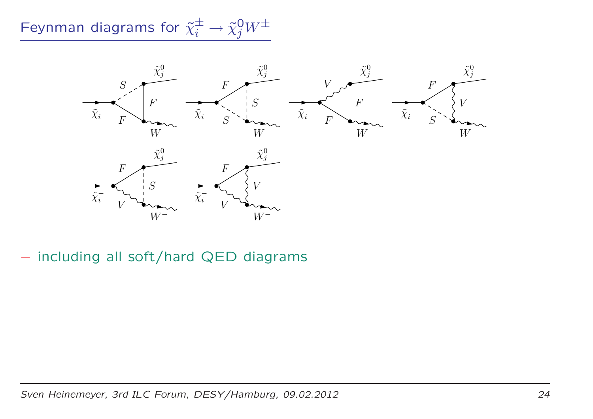Feynman diagrams for  $\tilde{\chi}_i^{\pm} \rightarrow \tilde{\chi}_j^0 W^{\pm}$ 



- including all soft/hard QED diagrams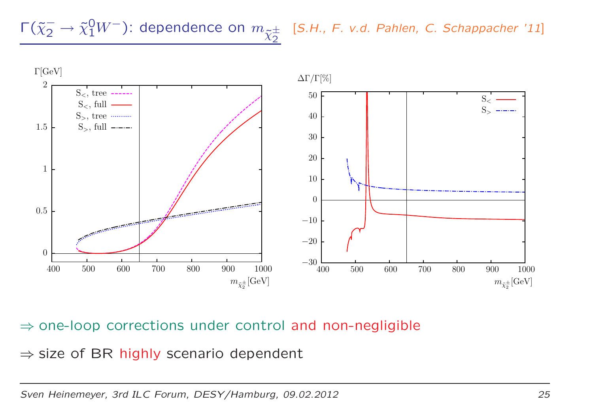$\Gamma(\tilde\chi_2^-\to\tilde\chi_1^0W^-)$ : dependence on  $m_{\tilde\chi_2^\pm}$  [S.H., F. v.d. Pahlen, C. Schappacher '11]



## ⇒ one-loop corrections under control and non-negligible

 $\Rightarrow$  size of BR highly scenario dependent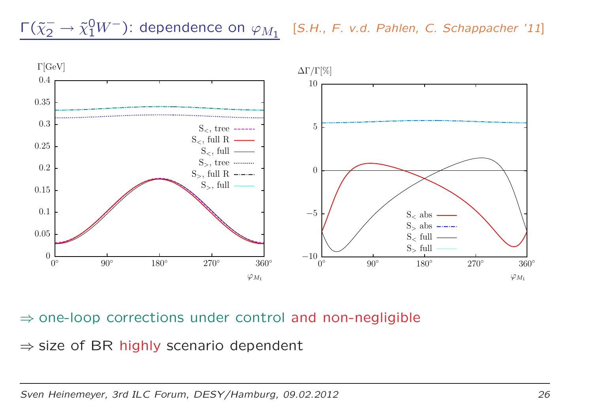$\Gamma(\tilde{\chi}_2^- \to \tilde{\chi}_1^0 W^-)$ : dependence on  $\varphi_{M_1}$  [S.H., F. v.d. Pahlen, C. Schappacher '11]



## $\Rightarrow$  one-loop corrections under control and non-negligible

 $\Rightarrow$  size of BR highly scenario dependent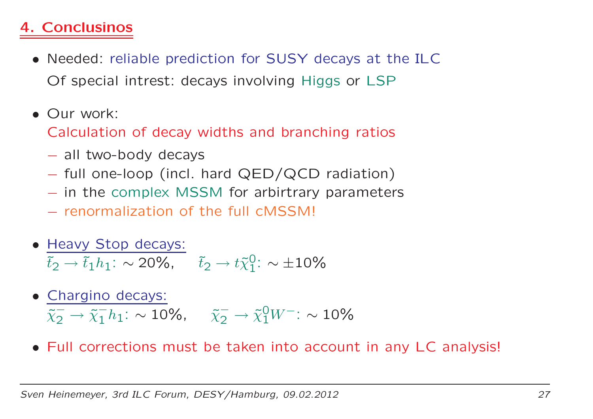## 4. Conclusinos

- Needed: reliable prediction for SUSY decays at the ILCOf special intrest: decays involving Higgs or LSP
- Our work:

Calculation of decay widths and branching ratios

- all two-body decays
- full one-loop (incl. hard QED/QCD radiation)
- in the complex MSSM for arbirtrary parameters<br>reparmalization of the full cMSSMI
- renormalization of the full cMSSM!
- Heavy Stop decays:  $\tilde{t}_2 \rightarrow \tilde{t}_1 h_1$ : ∼  $\sim$  20%,  $\tilde{t}_2 \rightarrow t \tilde{\chi}_1^0$ :  $\sim \pm 10\%$
- Chargino decays:  $\tilde{\chi}^{-}_\mathcal{D}$  $\overline{\chi}_2^- \to \overline{\chi}_1^- h_1$ : ∼ 10%,  $\overline{\chi}_2^- \to \overline{\chi}_1^0 W^-$ : ∼ 10%
- Full corrections must be taken into account in any LC analysis!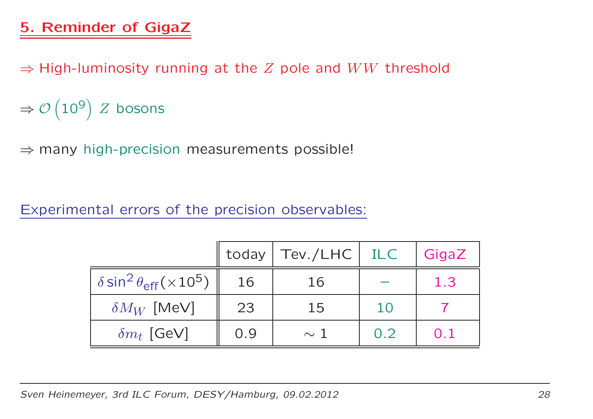## 5. Reminder of GigaZ

 $\Rightarrow$  High-luminosity running at the  $Z$  pole and  $WW$  threshold

⇒ $\Rightarrow \mathcal{O}\left(10^9\right)$   $Z$  bosons

 $\Rightarrow$  many high-precision measurements possible!

Experimental errors of the precision observables:

|                                                              |     | today   Tev./LHC   ILC |     | GigaZ |
|--------------------------------------------------------------|-----|------------------------|-----|-------|
| $\delta$ sin <sup>2</sup> $\theta_{\text{eff}}(\times 10^5)$ | 16  | 16                     |     | 1.3   |
| $\delta M_W$ [MeV]                                           | 23  | 15                     | 10  |       |
| $\delta m_t$ [GeV]                                           | 0.9 | $\sim$ 1               | 0.2 | 0.1   |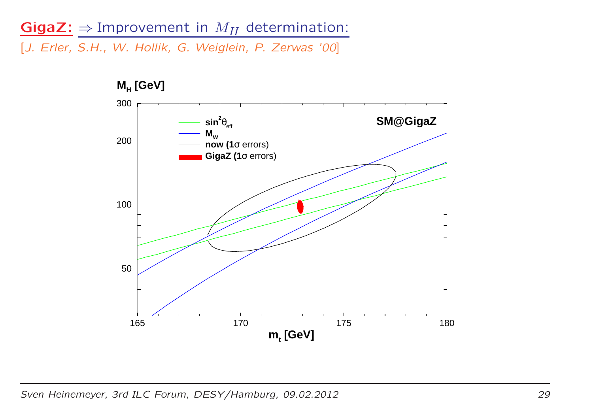# $Gigaz: \Rightarrow$  Improvement in  $M_H$  determination:

[J. Erler, S.H., W. Hollik, G. Weiglein, P. Zerwas '00]



Sven Heinemeyer, 3rd ILC Forum, DESY/Hamburg, 09.02.2012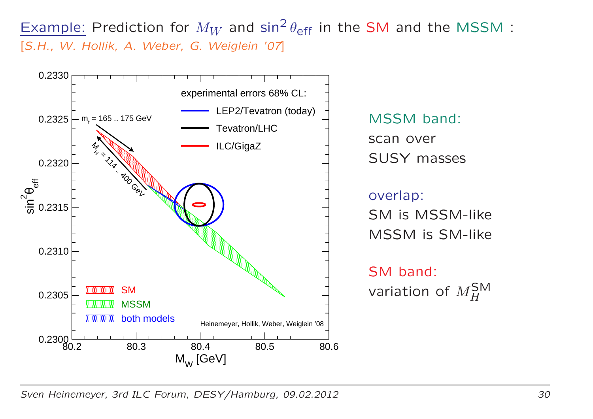Example: Prediction for  $M_W$  and  $\sin^2\theta_{\rm eff}$  in the SM and the MSSM :<br>[S.H., W. Hollik, A. Weber, G. Weiglein '07] [S.H., W. Hollik, A. Weber, G. Weiglein '07]

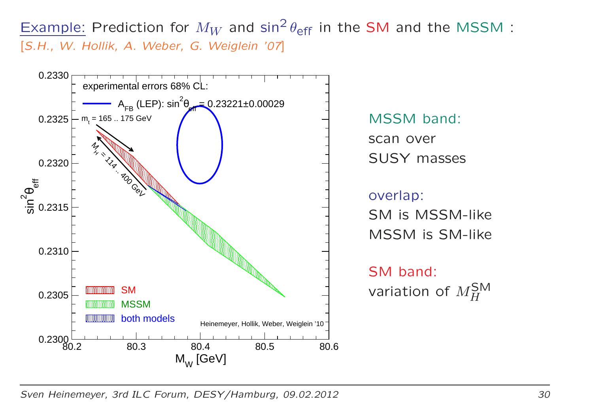Example: Prediction for  $M_W$  and  $\sin^2\theta_{\rm eff}$  in the SM and the MSSM :<br>[S.H., W. Hollik, A. Weber, G. Weiglein '07] [S.H., W. Hollik, A. Weber, G. Weiglein '07]

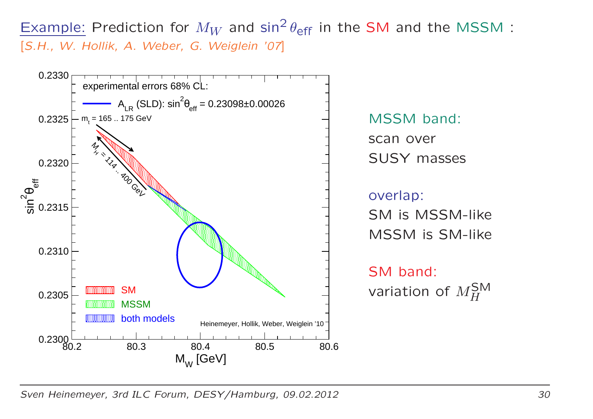Example: Prediction for  $M_W$  and  $\sin^2\theta_{\rm eff}$  in the SM and the MSSM :<br>[S.H., W. Hollik, A. Weber, G. Weiglein '07] [S.H., W. Hollik, A. Weber, G. Weiglein '07]

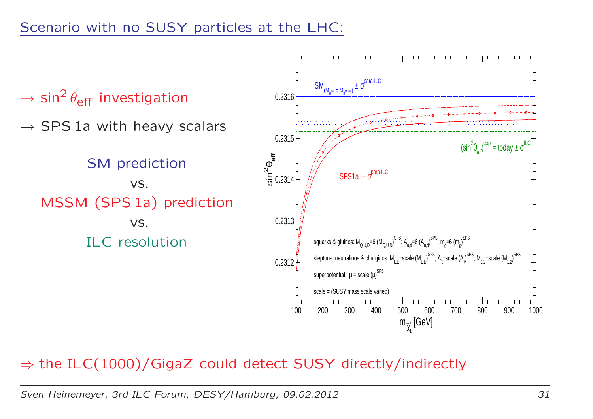

## $\Rightarrow$  the ILC(1000)/GigaZ could detect SUSY directly/indirectly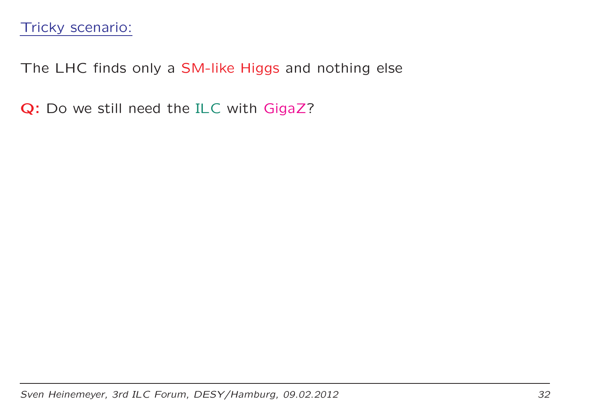The LHC finds only <sup>a</sup> SM-like Higgs and nothing else

**Q:** Do we still need the ILC with GigaZ?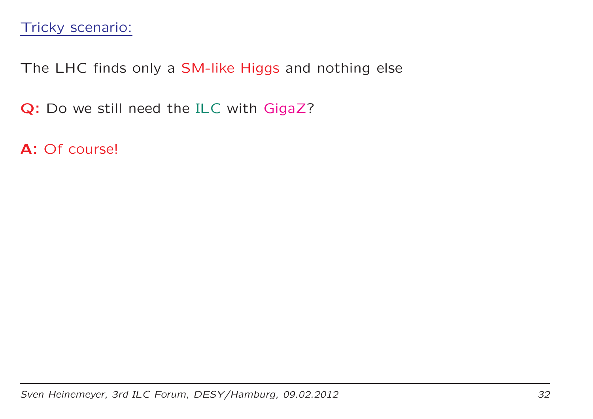The LHC finds only <sup>a</sup> SM-like Higgs and nothing else

**Q:** Do we still need the ILC with GigaZ?

**A:** Of course!